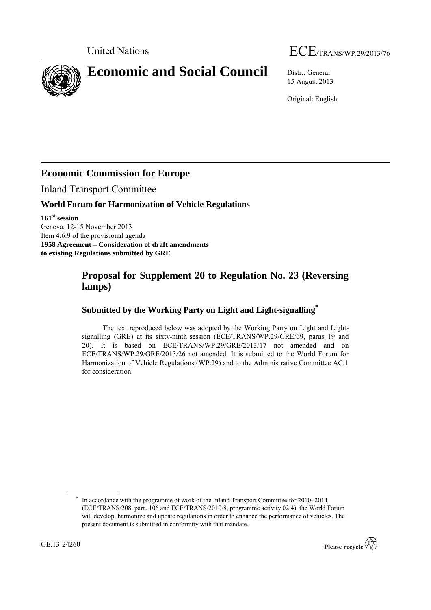# United Nations ECE/TRANS/WP.29/2013/76

**Economic and Social Council** Distr.: General

15 August 2013

Original: English

## **Economic Commission for Europe**

Inland Transport Committee

#### **World Forum for Harmonization of Vehicle Regulations**

**161 st session** Geneva, 12-15 November 2013 Item 4.6.9 of the provisional agenda **1958 Agreement – Consideration of draft amendments to existing Regulations submitted by GRE**

### **Proposal for Supplement 20 to Regulation No. 23 (Reversing lamps)**

#### **Submitted by the Working Party on Light and Light-signalling\***

The text reproduced below was adopted by the Working Party on Light and Lightsignalling (GRE) at its sixty-ninth session (ECE/TRANS/WP.29/GRE/69, paras. 19 and 20). It is based on ECE/TRANS/WP.29/GRE/2013/17 not amended and on ECE/TRANS/WP.29/GRE/2013/26 not amended. It is submitted to the World Forum for Harmonization of Vehicle Regulations (WP.29) and to the Administrative Committee AC.1 for consideration.



<sup>\*</sup> In accordance with the programme of work of the Inland Transport Committee for 2010–2014 (ECE/TRANS/208, para. 106 and ECE/TRANS/2010/8, programme activity 02.4), the World Forum will develop, harmonize and update regulations in order to enhance the performance of vehicles. The present document is submitted in conformity with that mandate.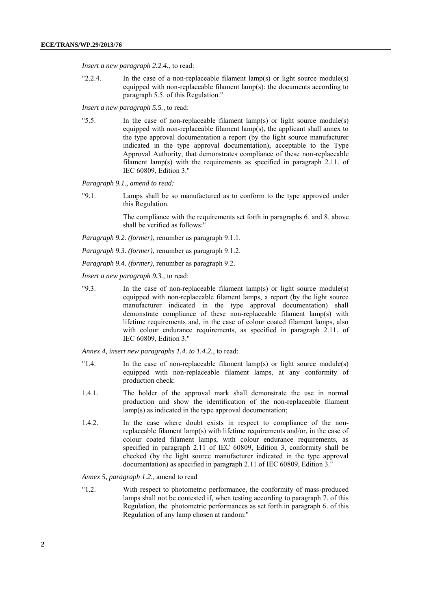*Insert a new paragraph 2.2.4.*, to read:

"2.2.4. In the case of a non-replaceable filament lamp(s) or light source module(s) equipped with non-replaceable filament lamp(s): the documents according to paragraph 5.5. of this Regulation."

*Insert a new paragraph 5.5.*, to read:

"5.5. In the case of non-replaceable filament lamp(s) or light source module(s) equipped with non-replaceable filament lamp(s), the applicant shall annex to the type approval documentation a report (by the light source manufacturer indicated in the type approval documentation), acceptable to the Type Approval Authority, that demonstrates compliance of these non-replaceable filament lamp(s) with the requirements as specified in paragraph 2.11. of IEC 60809, Edition 3."

*Paragraph 9.1., amend to read:*

"9.1. Lamps shall be so manufactured as to conform to the type approved under this Regulation.

> The compliance with the requirements set forth in paragraphs 6. and 8. above shall be verified as follows:"

*Paragraph 9.2. (former)*, renumber as paragraph 9.1.1.

*Paragraph 9.3. (former)*, renumber as paragraph 9.1.2.

*Paragraph 9.4. (former)*, renumber as paragraph 9.2.

*Insert a new paragraph 9.3.,* to read:

"9.3. In the case of non-replaceable filament lamp(s) or light source module(s) equipped with non-replaceable filament lamps, a report (by the light source manufacturer indicated in the type approval documentation) shall demonstrate compliance of these non-replaceable filament lamp(s) with lifetime requirements and, in the case of colour coated filament lamps, also with colour endurance requirements, as specified in paragraph 2.11, of IEC 60809, Edition 3."

*Annex 4, insert new paragraphs 1.4. to 1.4.2.*, to read:

- "1.4. In the case of non-replaceable filament lamp(s) or light source module(s) equipped with non-replaceable filament lamps, at any conformity of production check:
- 1.4.1. The holder of the approval mark shall demonstrate the use in normal production and show the identification of the non-replaceable filament lamp(s) as indicated in the type approval documentation;
- 1.4.2. In the case where doubt exists in respect to compliance of the nonreplaceable filament lamp(s) with lifetime requirements and/or, in the case of colour coated filament lamps, with colour endurance requirements, as specified in paragraph 2.11 of IEC 60809, Edition 3, conformity shall be checked (by the light source manufacturer indicated in the type approval documentation) as specified in paragraph 2.11 of IEC 60809, Edition 3."

*Annex 5, paragraph 1.2.,* amend to read

"1.2. With respect to photometric performance, the conformity of mass-produced lamps shall not be contested if, when testing according to paragraph 7. of this Regulation, the photometric performances as set forth in paragraph 6. of this Regulation of any lamp chosen at random:"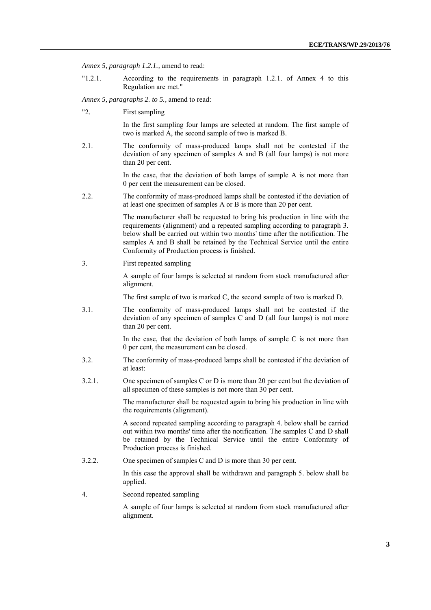*Annex 5, paragraph 1.2.1.,* amend to read:

"1.2.1. According to the requirements in paragraph 1.2.1. of Annex 4 to this Regulation are met."

*Annex 5, paragraphs 2. to 5.,* amend to read:

"2. First sampling

In the first sampling four lamps are selected at random. The first sample of two is marked A, the second sample of two is marked B.

2.1. The conformity of mass-produced lamps shall not be contested if the deviation of any specimen of samples A and B (all four lamps) is not more than 20 per cent.

> In the case, that the deviation of both lamps of sample A is not more than 0 per cent the measurement can be closed.

2.2. The conformity of mass-produced lamps shall be contested if the deviation of at least one specimen of samples A or B is more than 20 per cent.

> The manufacturer shall be requested to bring his production in line with the requirements (alignment) and a repeated sampling according to paragraph 3. below shall be carried out within two months' time after the notification. The samples A and B shall be retained by the Technical Service until the entire Conformity of Production process is finished.

3. First repeated sampling

A sample of four lamps is selected at random from stock manufactured after alignment.

The first sample of two is marked C, the second sample of two is marked D.

3.1. The conformity of mass-produced lamps shall not be contested if the deviation of any specimen of samples C and D (all four lamps) is not more than 20 per cent.

> In the case, that the deviation of both lamps of sample  $C$  is not more than 0 per cent, the measurement can be closed.

- 3.2. The conformity of mass-produced lamps shall be contested if the deviation of at least:
- 3.2.1. One specimen of samples C or D is more than 20 per cent but the deviation of all specimen of these samples is not more than 30 per cent.

The manufacturer shall be requested again to bring his production in line with the requirements (alignment).

A second repeated sampling according to paragraph 4. below shall be carried out within two months' time after the notification. The samples C and D shall be retained by the Technical Service until the entire Conformity of Production process is finished.

3.2.2. One specimen of samples C and D is more than 30 per cent.

In this case the approval shall be withdrawn and paragraph 5. below shall be applied.

4. Second repeated sampling

A sample of four lamps is selected at random from stock manufactured after alignment.